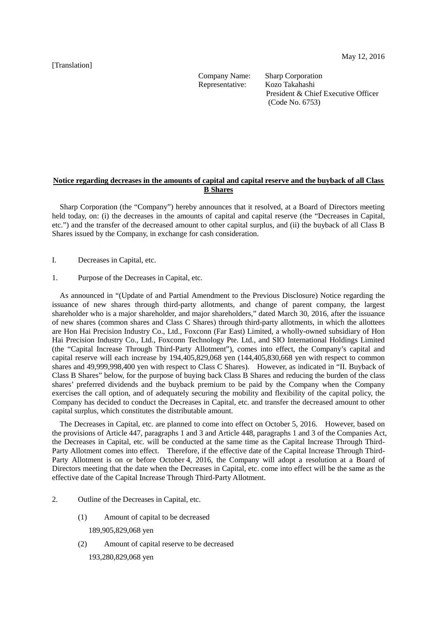May 12, 2016

[Translation]

Company Name: Sharp Corporation

Representative: Kozo Takahashi President & Chief Executive Officer (Code No. 6753)

# **Notice regarding decreases in the amounts of capital and capital reserve and the buyback of all Class B Shares**

Sharp Corporation (the "Company") hereby announces that it resolved, at a Board of Directors meeting held today, on: (i) the decreases in the amounts of capital and capital reserve (the "Decreases in Capital, etc.") and the transfer of the decreased amount to other capital surplus, and (ii) the buyback of all Class B Shares issued by the Company, in exchange for cash consideration.

- I. Decreases in Capital, etc.
- 1. Purpose of the Decreases in Capital, etc.

As announced in "(Update of and Partial Amendment to the Previous Disclosure) Notice regarding the issuance of new shares through third-party allotments, and change of parent company, the largest shareholder who is a major shareholder, and major shareholders," dated March 30, 2016, after the issuance of new shares (common shares and Class C Shares) through third-party allotments, in which the allottees are Hon Hai Precision Industry Co., Ltd., Foxconn (Far East) Limited, a wholly-owned subsidiary of Hon Hai Precision Industry Co., Ltd., Foxconn Technology Pte. Ltd., and SIO International Holdings Limited (the "Capital Increase Through Third-Party Allotment"), comes into effect, the Company's capital and capital reserve will each increase by 194,405,829,068 yen (144,405,830,668 yen with respect to common shares and 49,999,998,400 yen with respect to Class C Shares). However, as indicated in "II. Buyback of Class B Shares" below, for the purpose of buying back Class B Shares and reducing the burden of the class shares' preferred dividends and the buyback premium to be paid by the Company when the Company exercises the call option, and of adequately securing the mobility and flexibility of the capital policy, the Company has decided to conduct the Decreases in Capital, etc. and transfer the decreased amount to other capital surplus, which constitutes the distributable amount.

The Decreases in Capital, etc. are planned to come into effect on October 5, 2016. However, based on the provisions of Article 447, paragraphs 1 and 3 and Article 448, paragraphs 1 and 3 of the Companies Act, the Decreases in Capital, etc. will be conducted at the same time as the Capital Increase Through Third-Party Allotment comes into effect. Therefore, if the effective date of the Capital Increase Through Third-Party Allotment is on or before October 4, 2016, the Company will adopt a resolution at a Board of Directors meeting that the date when the Decreases in Capital, etc. come into effect will be the same as the effective date of the Capital Increase Through Third-Party Allotment.

- 2. Outline of the Decreases in Capital, etc.
	- (1) Amount of capital to be decreased

189,905,829,068 yen

- (2) Amount of capital reserve to be decreased
	- 193,280,829,068 yen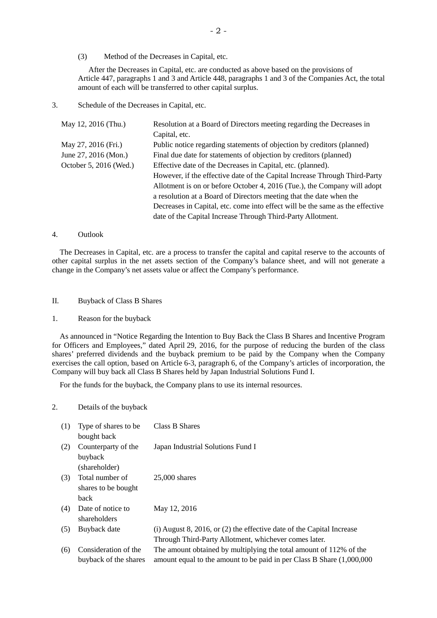(3) Method of the Decreases in Capital, etc.

After the Decreases in Capital, etc. are conducted as above based on the provisions of Article 447, paragraphs 1 and 3 and Article 448, paragraphs 1 and 3 of the Companies Act, the total amount of each will be transferred to other capital surplus.

3. Schedule of the Decreases in Capital, etc.

| May 12, 2016 (Thu.)    | Resolution at a Board of Directors meeting regarding the Decreases in         |
|------------------------|-------------------------------------------------------------------------------|
|                        | Capital, etc.                                                                 |
| May 27, 2016 (Fri.)    | Public notice regarding statements of objection by creditors (planned)        |
| June 27, 2016 (Mon.)   | Final due date for statements of objection by creditors (planned)             |
| October 5, 2016 (Wed.) | Effective date of the Decreases in Capital, etc. (planned).                   |
|                        | However, if the effective date of the Capital Increase Through Third-Party    |
|                        | Allotment is on or before October 4, 2016 (Tue.), the Company will adopt      |
|                        | a resolution at a Board of Directors meeting that the date when the           |
|                        | Decreases in Capital, etc. come into effect will be the same as the effective |
|                        | date of the Capital Increase Through Third-Party Allotment.                   |

#### 4. Outlook

The Decreases in Capital, etc. are a process to transfer the capital and capital reserve to the accounts of other capital surplus in the net assets section of the Company's balance sheet, and will not generate a change in the Company's net assets value or affect the Company's performance.

## II. Buyback of Class B Shares

1. Reason for the buyback

As announced in "Notice Regarding the Intention to Buy Back the Class B Shares and Incentive Program for Officers and Employees," dated April 29, 2016, for the purpose of reducing the burden of the class shares' preferred dividends and the buyback premium to be paid by the Company when the Company exercises the call option, based on Article 6-3, paragraph 6, of the Company's articles of incorporation, the Company will buy back all Class B Shares held by Japan Industrial Solutions Fund I.

For the funds for the buyback, the Company plans to use its internal resources.

### 2. Details of the buyback

| Type of shares to be  | Class B Shares                                                            |
|-----------------------|---------------------------------------------------------------------------|
| bought back           |                                                                           |
| Counterparty of the   | Japan Industrial Solutions Fund I                                         |
| buyback               |                                                                           |
| (shareholder)         |                                                                           |
| Total number of       | $25,000$ shares                                                           |
| shares to be bought   |                                                                           |
| back                  |                                                                           |
| Date of notice to     | May 12, 2016                                                              |
| shareholders          |                                                                           |
| Buyback date          | $(i)$ August 8, 2016, or $(2)$ the effective date of the Capital Increase |
|                       | Through Third-Party Allotment, whichever comes later.                     |
| Consideration of the  | The amount obtained by multiplying the total amount of 112% of the        |
| buyback of the shares | amount equal to the amount to be paid in per Class B Share (1,000,000)    |
|                       |                                                                           |